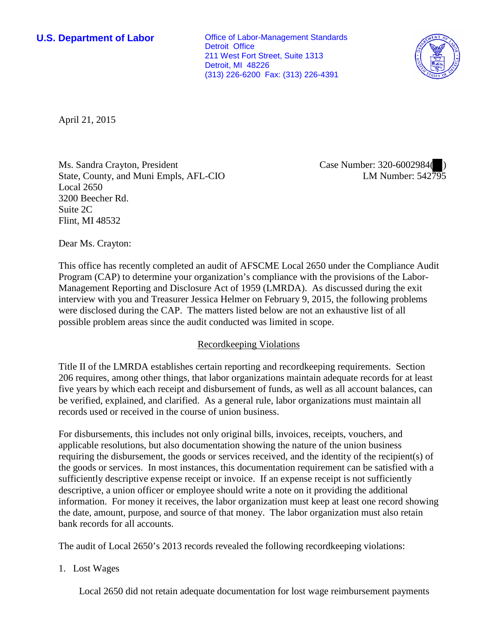**U.S. Department of Labor Conservative Conservative Conservative Conservative Conservative Conservative Conservative Conservative Conservative Conservative Conservative Conservative Conservative Conservative Conservative** Detroit Office 211 West Fort Street, Suite 1313 Detroit, MI 48226 (313) 226-6200 Fax: (313) 226-4391



April 21, 2015

Ms. Sandra Crayton, President State, County, and Muni Empls, AFL-CIO Local 2650 3200 Beecher Rd. Suite 2C Flint, MI 48532

Case Number: 320-6002984( ) LM Number: 542795

Dear Ms. Crayton:

This office has recently completed an audit of AFSCME Local 2650 under the Compliance Audit Program (CAP) to determine your organization's compliance with the provisions of the Labor-Management Reporting and Disclosure Act of 1959 (LMRDA). As discussed during the exit interview with you and Treasurer Jessica Helmer on February 9, 2015, the following problems were disclosed during the CAP. The matters listed below are not an exhaustive list of all possible problem areas since the audit conducted was limited in scope.

## Recordkeeping Violations

Title II of the LMRDA establishes certain reporting and recordkeeping requirements. Section 206 requires, among other things, that labor organizations maintain adequate records for at least five years by which each receipt and disbursement of funds, as well as all account balances, can be verified, explained, and clarified. As a general rule, labor organizations must maintain all records used or received in the course of union business.

For disbursements, this includes not only original bills, invoices, receipts, vouchers, and applicable resolutions, but also documentation showing the nature of the union business requiring the disbursement, the goods or services received, and the identity of the recipient(s) of the goods or services. In most instances, this documentation requirement can be satisfied with a sufficiently descriptive expense receipt or invoice. If an expense receipt is not sufficiently descriptive, a union officer or employee should write a note on it providing the additional information. For money it receives, the labor organization must keep at least one record showing the date, amount, purpose, and source of that money. The labor organization must also retain bank records for all accounts.

The audit of Local 2650's 2013 records revealed the following recordkeeping violations:

1. Lost Wages

Local 2650 did not retain adequate documentation for lost wage reimbursement payments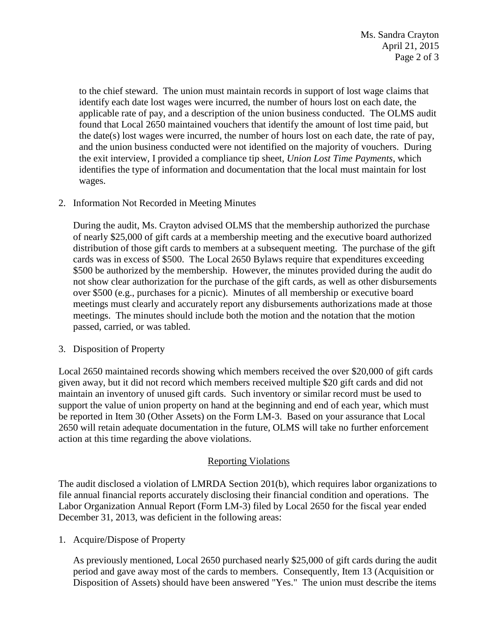to the chief steward. The union must maintain records in support of lost wage claims that identify each date lost wages were incurred, the number of hours lost on each date, the applicable rate of pay, and a description of the union business conducted. The OLMS audit found that Local 2650 maintained vouchers that identify the amount of lost time paid, but the date(s) lost wages were incurred, the number of hours lost on each date, the rate of pay, and the union business conducted were not identified on the majority of vouchers. During the exit interview, I provided a compliance tip sheet, *Union Lost Time Payments*, which identifies the type of information and documentation that the local must maintain for lost wages.

2. Information Not Recorded in Meeting Minutes

During the audit, Ms. Crayton advised OLMS that the membership authorized the purchase of nearly \$25,000 of gift cards at a membership meeting and the executive board authorized distribution of those gift cards to members at a subsequent meeting. The purchase of the gift cards was in excess of \$500. The Local 2650 Bylaws require that expenditures exceeding \$500 be authorized by the membership. However, the minutes provided during the audit do not show clear authorization for the purchase of the gift cards, as well as other disbursements over \$500 (e.g., purchases for a picnic). Minutes of all membership or executive board meetings must clearly and accurately report any disbursements authorizations made at those meetings. The minutes should include both the motion and the notation that the motion passed, carried, or was tabled.

3. Disposition of Property

Local 2650 maintained records showing which members received the over \$20,000 of gift cards given away, but it did not record which members received multiple \$20 gift cards and did not maintain an inventory of unused gift cards. Such inventory or similar record must be used to support the value of union property on hand at the beginning and end of each year, which must be reported in Item 30 (Other Assets) on the Form LM-3. Based on your assurance that Local 2650 will retain adequate documentation in the future, OLMS will take no further enforcement action at this time regarding the above violations.

## Reporting Violations

The audit disclosed a violation of LMRDA Section 201(b), which requires labor organizations to file annual financial reports accurately disclosing their financial condition and operations. The Labor Organization Annual Report (Form LM-3) filed by Local 2650 for the fiscal year ended December 31, 2013, was deficient in the following areas:

1. Acquire/Dispose of Property

As previously mentioned, Local 2650 purchased nearly \$25,000 of gift cards during the audit period and gave away most of the cards to members. Consequently, Item 13 (Acquisition or Disposition of Assets) should have been answered "Yes." The union must describe the items